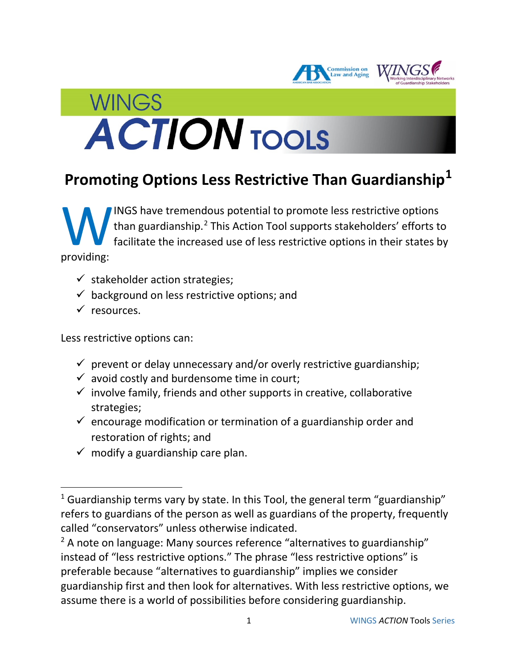

# **Promoting Options Less Restrictive Than Guardianship[1](#page-0-0)**

INGS have tremendous potential to promote less restrictive options than guardianship.<sup>[2](#page-0-1)</sup> This Action Tool supports stakeholders' efforts to facilitate the increased use of less restrictive options in their states by W<br>providing:

- $\checkmark$  stakeholder action strategies;
- $\checkmark$  background on less restrictive options; and
- $\checkmark$  resources.

 $\overline{\phantom{a}}$ 

Less restrictive options can:

- $\checkmark$  prevent or delay unnecessary and/or overly restrictive guardianship;
- $\checkmark$  avoid costly and burdensome time in court;
- $\checkmark$  involve family, friends and other supports in creative, collaborative strategies;
- $\checkmark$  encourage modification or termination of a guardianship order and restoration of rights; and
- $\checkmark$  modify a guardianship care plan.

<span id="page-0-0"></span> $1$  Guardianship terms vary by state. In this Tool, the general term "guardianship" refers to guardians of the person as well as guardians of the property, frequently called "conservators" unless otherwise indicated.

<span id="page-0-1"></span> $2$  A note on language: Many sources reference "alternatives to guardianship" instead of "less restrictive options." The phrase "less restrictive options" is preferable because "alternatives to guardianship" implies we consider guardianship first and then look for alternatives. With less restrictive options, we assume there is a world of possibilities before considering guardianship.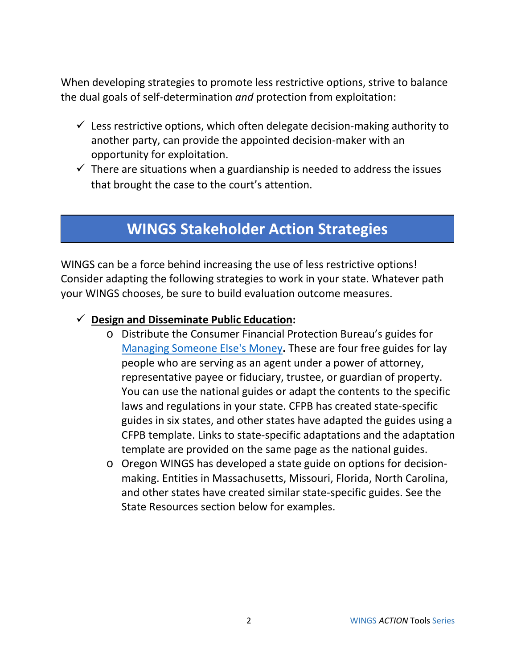When developing strategies to promote less restrictive options, strive to balance the dual goals of self-determination *and* protection from exploitation:

- $\checkmark$  Less restrictive options, which often delegate decision-making authority to another party, can provide the appointed decision-maker with an opportunity for exploitation.
- $\checkmark$  There are situations when a guardianship is needed to address the issues that brought the case to the court's attention.

## **WINGS Stakeholder Action Strategies**

WINGS can be a force behind increasing the use of less restrictive options! Consider adapting the following strategies to work in your state. Whatever path your WINGS chooses, be sure to build evaluation outcome measures.

- **Design and Disseminate Public Education:** 
	- o Distribute the Consumer Financial Protection Bureau's guides for [Managing Someone Else's Money](https://www.consumerfinance.gov/consumer-tools/managing-someone-elses-money/)**.** These are four free guides for lay people who are serving as an agent under a power of attorney, representative payee or fiduciary, trustee, or guardian of property. You can use the national guides or adapt the contents to the specific laws and regulations in your state. CFPB has created state-specific guides in six states, and other states have adapted the guides using a CFPB template. Links to state-specific adaptations and the adaptation template are provided on the same page as the national guides.
	- o Oregon WINGS has developed a state guide on options for decisionmaking. Entities in Massachusetts, Missouri, Florida, North Carolina, and other states have created similar state-specific guides. See the State Resources section below for examples.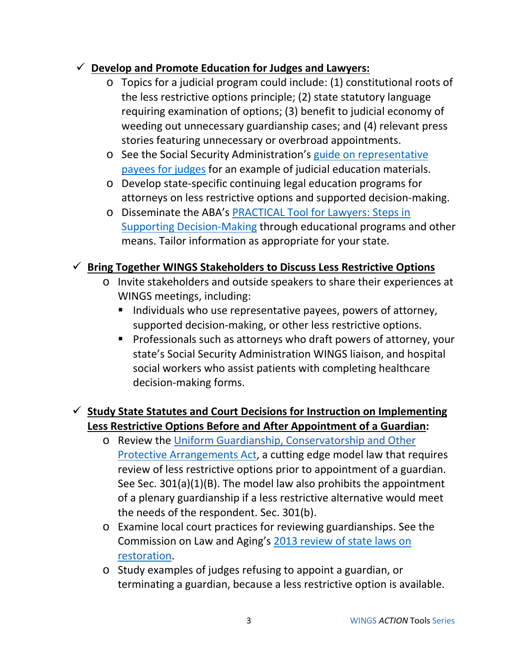#### **Develop and Promote Education for Judges and Lawyers:**

- o Topics for a judicial program could include: (1) constitutional roots of the less restrictive options principle; (2) state statutory language requiring examination of options; (3) benefit to judicial economy of weeding out unnecessary guardianship cases; and (4) relevant press stories featuring unnecessary or overbroad appointments.
- o See the Social Security Administration's [guide on representative](https://www.ssa.gov/payee/rp_training2.html)  [payees for judges](https://www.ssa.gov/payee/rp_training2.html) for an example of judicial education materials.
- o Develop state-specific continuing legal education programs for attorneys on less restrictive options and supported decision-making.
- o Disseminate the ABA's [PRACTICAL Tool for Lawyers: Steps in](https://www.americanbar.org/groups/law_aging/resources/guardianship_law_practice/practical_tool.html)  [Supporting Decision-Making](https://www.americanbar.org/groups/law_aging/resources/guardianship_law_practice/practical_tool.html) through educational programs and other means. Tailor information as appropriate for your state.

#### **Bring Together WINGS Stakeholders to Discuss Less Restrictive Options**

- o Invite stakeholders and outside speakers to share their experiences at WINGS meetings, including:
	- $\blacksquare$  Individuals who use representative payees, powers of attorney, supported decision-making, or other less restrictive options.
	- **Professionals such as attorneys who draft powers of attorney, your** state's Social Security Administration WINGS liaison, and hospital social workers who assist patients with completing healthcare decision-making forms.

### **Study State Statutes and Court Decisions for Instruction on Implementing Less Restrictive Options Before and After Appointment of a Guardian:**

- o Review the [Uniform Guardianship, Conservatorship and Other](http://www.uniformlaws.org/Act.aspx?title=Guardianship,%20Conservatorship,%20and%20Other%20Protective%20Arrangements%20Act)  [Protective Arrangements Act,](http://www.uniformlaws.org/Act.aspx?title=Guardianship,%20Conservatorship,%20and%20Other%20Protective%20Arrangements%20Act) a cutting edge model law that requires review of less restrictive options prior to appointment of a guardian. See Sec. 301(a)(1)(B). The model law also prohibits the appointment of a plenary guardianship if a less restrictive alternative would meet the needs of the respondent. Sec. 301(b).
- o Examine local court practices for reviewing guardianships. See the Commission on Law and Aging's [2013 review of state laws on](https://www.americanbar.org/content/dam/aba/administrative/law_aging/2013_CassidyRestorationofRightsChart7-13.authcheckdam.pdf)  [restoration.](https://www.americanbar.org/content/dam/aba/administrative/law_aging/2013_CassidyRestorationofRightsChart7-13.authcheckdam.pdf)
- o Study examples of judges refusing to appoint a guardian, or terminating a guardian, because a less restrictive option is available.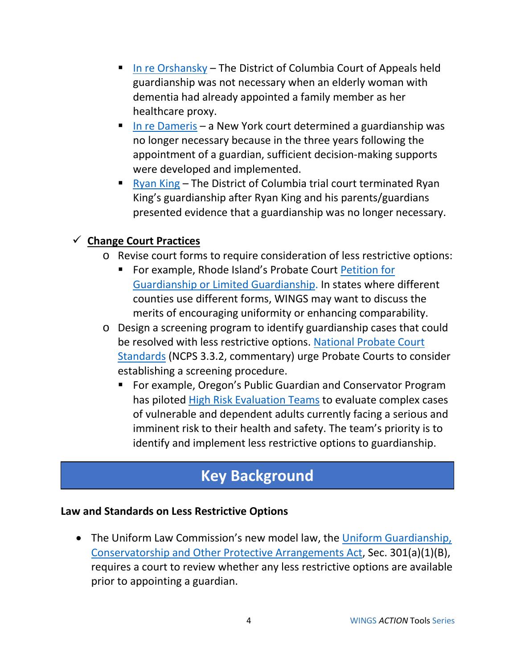- [In re Orshansky](http://caselaw.findlaw.com/dc-court-of-appeals/1043231.html) The District of Columbia Court of Appeals held guardianship was not necessary when an elderly woman with dementia had already appointed a family member as her healthcare proxy.
- [In re Dameris](http://caselaw.findlaw.com/ny-surrogates-court/1619828.html) a New York court determined a guardianship was no longer necessary because in the three years following the appointment of a guardian, sufficient decision-making supports were developed and implemented.
- **[Ryan King](http://bbi.syr.edu/news_events/news/2016/12/Freedom-Ryan-King.html) The District of Columbia trial court terminated Ryan** King's guardianship after Ryan King and his parents/guardians presented evidence that a guardianship was no longer necessary.

### **Change Court Practices**

- o Revise court forms to require consideration of less restrictive options:
	- For example, Rhode Island's Probate Court Petition for [Guardianship or Limited Guardianship.](http://sos.ri.gov/assets/downloads/documents/PC2.3-petition-for-limited-guardianship-or-guardianship.pdf) In states where different counties use different forms, WINGS may want to discuss the merits of encouraging uniformity or enhancing comparability.
- o Design a screening program to identify guardianship cases that could be resolved with less restrictive options. [National Probate Court](https://ncsc.contentdm.oclc.org/digital/collection/spcts/id/240)  [Standards](https://ncsc.contentdm.oclc.org/digital/collection/spcts/id/240) (NCPS 3.3.2, commentary) urge Probate Courts to consider establishing a screening procedure.
	- For example, Oregon's Public Guardian and Conservator Program has piloted [High Risk Evaluation Teams](https://olis.leg.state.or.us/liz/2017R1/Downloads/CommitteeMeetingDocument/112587) to evaluate complex cases of vulnerable and dependent adults currently facing a serious and imminent risk to their health and safety. The team's priority is to identify and implement less restrictive options to guardianship.

## **Key Background**

#### **Law and Standards on Less Restrictive Options**

• The Uniform Law Commission's new model law, the Uniform Guardianship, [Conservatorship and Other Protective Arrangements Act,](http://www.uniformlaws.org/Act.aspx?title=Guardianship,%20Conservatorship,%20and%20Other%20Protective%20Arrangements%20Act) Sec. 301(a)(1)(B), requires a court to review whether any less restrictive options are available prior to appointing a guardian.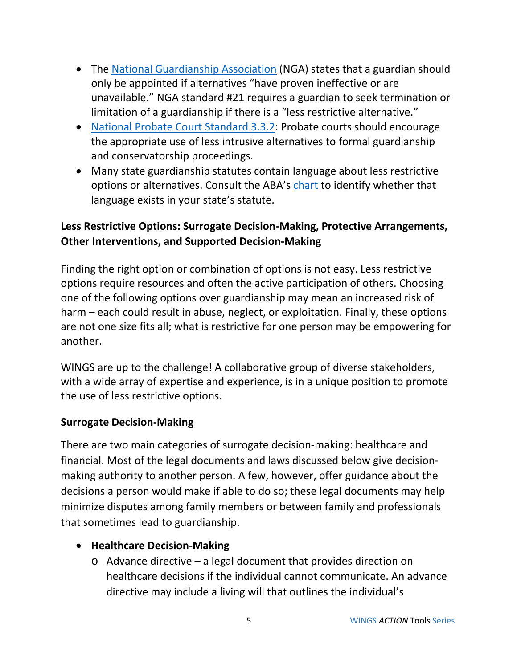- The [National Guardianship Association](https://www.guardianship.org/what-is-guardianship/) (NGA) states that a guardian should only be appointed if alternatives "have proven ineffective or are unavailable." NGA standard #21 requires a guardian to seek termination or limitation of a guardianship if there is a "less restrictive alternative."
- [National Probate Court Standard 3.3.2:](https://ncsc.contentdm.oclc.org/digital/collection/spcts/id/240) Probate courts should encourage the appropriate use of less intrusive alternatives to formal guardianship and conservatorship proceedings.
- Many state guardianship statutes contain language about less restrictive options or alternatives. Consult the ABA's [chart](https://www.americanbar.org/content/dam/aba/administrative/law_aging/chartconduct.authcheckdam.pdf) to identify whether that language exists in your state's statute.

## **Less Restrictive Options: Surrogate Decision-Making, Protective Arrangements, Other Interventions, and Supported Decision-Making**

Finding the right option or combination of options is not easy. Less restrictive options require resources and often the active participation of others. Choosing one of the following options over guardianship may mean an increased risk of harm – each could result in abuse, neglect, or exploitation. Finally, these options are not one size fits all; what is restrictive for one person may be empowering for another.

WINGS are up to the challenge! A collaborative group of diverse stakeholders, with a wide array of expertise and experience, is in a unique position to promote the use of less restrictive options.

#### **Surrogate Decision-Making**

There are two main categories of surrogate decision-making: healthcare and financial. Most of the legal documents and laws discussed below give decisionmaking authority to another person. A few, however, offer guidance about the decisions a person would make if able to do so; these legal documents may help minimize disputes among family members or between family and professionals that sometimes lead to guardianship.

#### • **Healthcare Decision-Making**

o Advance directive – a legal document that provides direction on healthcare decisions if the individual cannot communicate. An advance directive may include a living will that outlines the individual's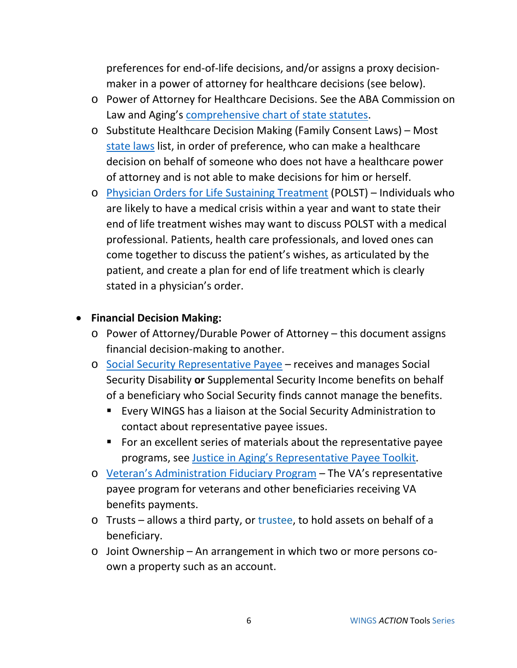preferences for end-of-life decisions, and/or assigns a proxy decisionmaker in a power of attorney for healthcare decisions (see below).

- o Power of Attorney for Healthcare Decisions. See the ABA Commission on Law and Aging's [comprehensive chart of state statutes.](https://www.americanbar.org/content/dam/aba/administrative/law_aging/state-health-care-power-of-attorney-statutes.authcheckdam.pdf)
- o Substitute Healthcare Decision Making (Family Consent Laws) Most [state laws](https://www.americanbar.org/content/dam/aba/administrative/law_aging/2014_default_surrogate_consent_statutes.authcheckdam.pdf) list, in order of preference, who can make a healthcare decision on behalf of someone who does not have a healthcare power of attorney and is not able to make decisions for him or herself.
- o [Physician Orders for Life Sustaining Treatment](http://polst.org/) (POLST) Individuals who are likely to have a medical crisis within a year and want to state their end of life treatment wishes may want to discuss POLST with a medical professional. Patients, health care professionals, and loved ones can come together to discuss the patient's wishes, as articulated by the patient, and create a plan for end of life treatment which is clearly stated in a physician's order.

#### • **Financial Decision Making:**

- o Power of Attorney/Durable Power of Attorney this document assigns financial decision-making to another.
- o [Social Security Representative Payee](https://www.ssa.gov/payee/) receives and manages Social Security Disability **or** Supplemental Security Income benefits on behalf of a beneficiary who Social Security finds cannot manage the benefits.
	- Every WINGS has a liaison at the Social Security Administration to contact about representative payee issues.
	- For an excellent series of materials about the representative payee programs, see [Justice in Aging's Representative Payee Toolkit.](http://www.justiceinaging.org/our-work/economic-security/rep-payee-program/)
- o [Veteran's Administration Fiduciary Program](https://benefits.va.gov/fiduciary/) The VA's representative payee program for veterans and other beneficiaries receiving VA benefits payments.
- o Trusts allows a third party, or [trustee,](javascript:void(0);) to hold assets on behalf of a beneficiary.
- o Joint Ownership An arrangement in which two or more persons coown a property such as an account.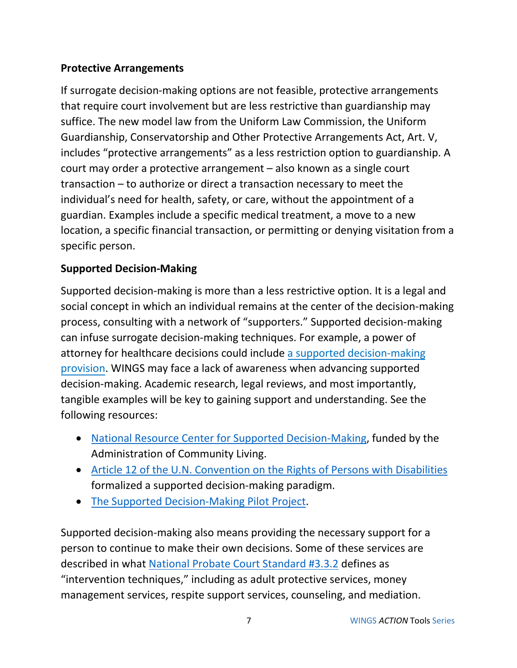#### **Protective Arrangements**

If surrogate decision-making options are not feasible, protective arrangements that require court involvement but are less restrictive than guardianship may suffice. The new model law from the Uniform Law Commission, the [Uniform](http://www.uniformlaws.org/Act.aspx?title=Guardianship,%20Conservatorship,%20and%20Other%20Protective%20Arrangements%20Act)  [Guardianship, Conservatorship and Other](http://www.uniformlaws.org/Act.aspx?title=Guardianship,%20Conservatorship,%20and%20Other%20Protective%20Arrangements%20Act) Protective Arrangements Act, Art. V, includes "protective arrangements" as a less restriction option to guardianship. A court may order a protective arrangement – also known as a single court transaction – to authorize or direct a transaction necessary to meet the individual's need for health, safety, or care, without the appointment of a guardian. Examples include a specific medical treatment, a move to a new location, a specific financial transaction, or permitting or denying visitation from a specific person.

### **Supported Decision-Making**

Supported decision-making is more than a less restrictive option. It is a legal and social concept in which an individual remains at the center of the decision-making process, consulting with a network of "supporters." Supported decision-making can infuse surrogate decision-making techniques. For example, a power of attorney for healthcare decisions could include a [supported decision-making](http://www.supporteddecisionmaking.org/legal-resource/dc-durable-power-attorney-health-care-special-provisions-supported-decision-making) [provision.](http://www.supporteddecisionmaking.org/legal-resource/dc-durable-power-attorney-health-care-special-provisions-supported-decision-making) WINGS may face a lack of awareness when advancing supported decision-making. Academic research, legal reviews, and most importantly, tangible examples will be key to gaining support and understanding. See the following resources:

- [National Resource Center for Supported Decision-Making,](http://www.supporteddecisionmaking.org/) funded by the Administration of Community Living.
- [Article 12 of the U.N. Convention on the Rights of Persons with Disabilities](https://www.un.org/development/desa/disabilities/convention-on-the-rights-of-persons-with-disabilities/article-12-equal-recognition-before-the-law.html) formalized a supported decision-making paradigm.
- [The Supported Decision-Making Pilot Project.](http://supporteddecisions.org/)

Supported decision-making also means providing the necessary support for a person to continue to make their own decisions. Some of these services are described in what [National Probate Court Standard #3.3.2](https://ncsc.contentdm.oclc.org/digital/collection/spcts/id/240) defines as "intervention techniques," including as adult protective services, money management services, respite support services, counseling, and mediation.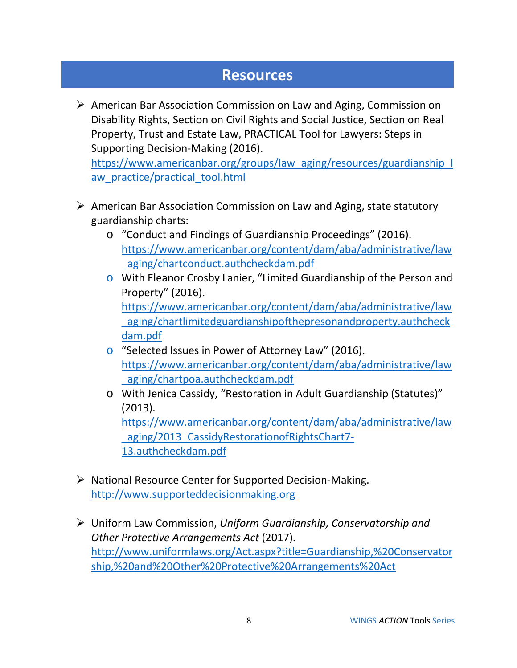## **Resources**

 $\triangleright$  American Bar Association Commission on Law and Aging, Commission on Disability Rights, Section on Civil Rights and Social Justice, Section on Real Property, Trust and Estate Law, PRACTICAL Tool for Lawyers: Steps in Supporting Decision-Making (2016).

[https://www.americanbar.org/groups/law\\_aging/resources/guardianship\\_l](https://www.americanbar.org/groups/law_aging/resources/guardianship_law_practice/practical_tool.html) aw practice/practical tool.html

- $\triangleright$  American Bar Association Commission on Law and Aging, state statutory guardianship charts:
	- o "Conduct and Findings of Guardianship Proceedings" (2016). [https://www.americanbar.org/content/dam/aba/administrative/law](https://www.americanbar.org/content/dam/aba/administrative/law_aging/chartconduct.authcheckdam.pdf) aging/chartconduct.authcheckdam.pdf
	- o With Eleanor Crosby Lanier, "Limited Guardianship of the Person and Property" (2016).

[https://www.americanbar.org/content/dam/aba/administrative/law](https://www.americanbar.org/content/dam/aba/administrative/law_aging/chartlimitedguardianshipofthepresonandproperty.authcheckdam.pdf) aging/chartlimitedguardianshipofthepresonandproperty.authcheck [dam.pdf](https://www.americanbar.org/content/dam/aba/administrative/law_aging/chartlimitedguardianshipofthepresonandproperty.authcheckdam.pdf)

- o "Selected Issues in Power of Attorney Law" (2016). [https://www.americanbar.org/content/dam/aba/administrative/law](https://www.americanbar.org/content/dam/aba/administrative/law_aging/chartpoa.authcheckdam.pdf) [\\_aging/chartpoa.authcheckdam.pdf](https://www.americanbar.org/content/dam/aba/administrative/law_aging/chartpoa.authcheckdam.pdf)
- o With Jenica Cassidy, "Restoration in Adult Guardianship (Statutes)" (2013).

[https://www.americanbar.org/content/dam/aba/administrative/law](https://www.americanbar.org/content/dam/aba/administrative/law_aging/2013_CassidyRestorationofRightsChart7-13.authcheckdam.pdf) [\\_aging/2013\\_CassidyRestorationofRightsChart7-](https://www.americanbar.org/content/dam/aba/administrative/law_aging/2013_CassidyRestorationofRightsChart7-13.authcheckdam.pdf) [13.authcheckdam.pdf](https://www.americanbar.org/content/dam/aba/administrative/law_aging/2013_CassidyRestorationofRightsChart7-13.authcheckdam.pdf)

- $\triangleright$  National Resource Center for Supported Decision-Making. [http://www.supporteddecisionmaking.org](http://www.supporteddecisionmaking.org/)
- Uniform Law Commission, *Uniform Guardianship, Conservatorship and Other Protective Arrangements Act* (2017). [http://www.uniformlaws.org/Act.aspx?title=Guardianship,%20Conservator](http://www.uniformlaws.org/Act.aspx?title=Guardianship,%20Conservatorship,%20and%20Other%20Protective%20Arrangements%20Act) [ship,%20and%20Other%20Protective%20Arrangements%20Act](http://www.uniformlaws.org/Act.aspx?title=Guardianship,%20Conservatorship,%20and%20Other%20Protective%20Arrangements%20Act)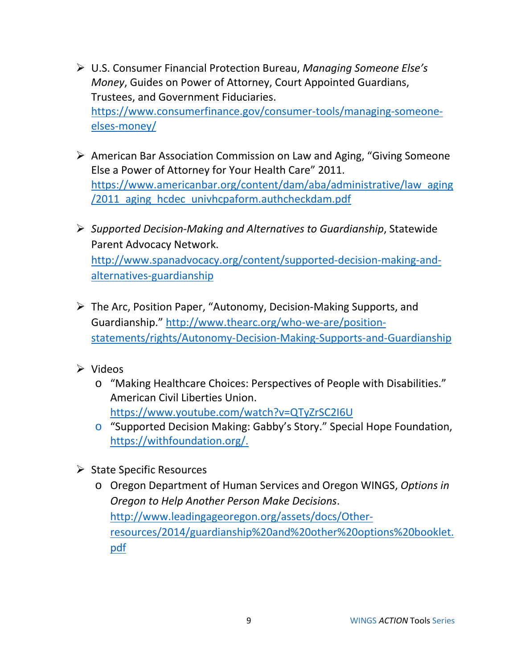- U.S. Consumer Financial Protection Bureau, *Managing Someone Else's Money*, Guides on Power of Attorney, Court Appointed Guardians, Trustees, and Government Fiduciaries. [https://www.consumerfinance.gov/consumer-tools/managing-someone](https://www.consumerfinance.gov/consumer-tools/managing-someone-elses-money/)[elses-money/](https://www.consumerfinance.gov/consumer-tools/managing-someone-elses-money/)
- American Bar Association Commission on Law and Aging, "Giving Someone Else a Power of Attorney for Your Health Care" 2011. [https://www.americanbar.org/content/dam/aba/administrative/law\\_aging](https://www.americanbar.org/content/dam/aba/administrative/law_aging/2011_aging_hcdec_univhcpaform.authcheckdam.pdf) [/2011\\_aging\\_hcdec\\_univhcpaform.authcheckdam.pdf](https://www.americanbar.org/content/dam/aba/administrative/law_aging/2011_aging_hcdec_univhcpaform.authcheckdam.pdf)
- *Supported Decision-Making and Alternatives to Guardianship*, Statewide Parent Advocacy Network. [http://www.spanadvocacy.org/content/supported-decision-making-and](http://www.spanadvocacy.org/content/supported-decision-making-and-alternatives-guardianship)[alternatives-guardianship](http://www.spanadvocacy.org/content/supported-decision-making-and-alternatives-guardianship)
- The Arc, Position Paper, "Autonomy, Decision-Making Supports, and Guardianship." [http://www.thearc.org/who-we-are/position](http://www.thearc.org/who-we-are/position-statements/rights/Autonomy-Decision-Making-Supports-and-Guardianship)[statements/rights/Autonomy-Decision-Making-Supports-and-Guardianship](http://www.thearc.org/who-we-are/position-statements/rights/Autonomy-Decision-Making-Supports-and-Guardianship)
- $\triangleright$  Videos
	- o "Making Healthcare Choices: Perspectives of People with Disabilities." American Civil Liberties Union. <https://www.youtube.com/watch?v=QTyZrSC2I6U>
	- o "Supported Decision Making: Gabby's Story." Special Hope Foundation, [https://withfoundation.org/.](https://withfoundation.org/)
- $\triangleright$  State Specific Resources
	- o Oregon Department of Human Services and Oregon WINGS, *Options in Oregon to Help Another Person Make Decisions*. [http://www.leadingageoregon.org/assets/docs/Other](http://www.leadingageoregon.org/assets/docs/Other-resources/2014/guardianship%20and%20other%20options%20booklet.pdf)[resources/2014/guardianship%20and%20other%20options%20booklet.](http://www.leadingageoregon.org/assets/docs/Other-resources/2014/guardianship%20and%20other%20options%20booklet.pdf) [pdf](http://www.leadingageoregon.org/assets/docs/Other-resources/2014/guardianship%20and%20other%20options%20booklet.pdf)